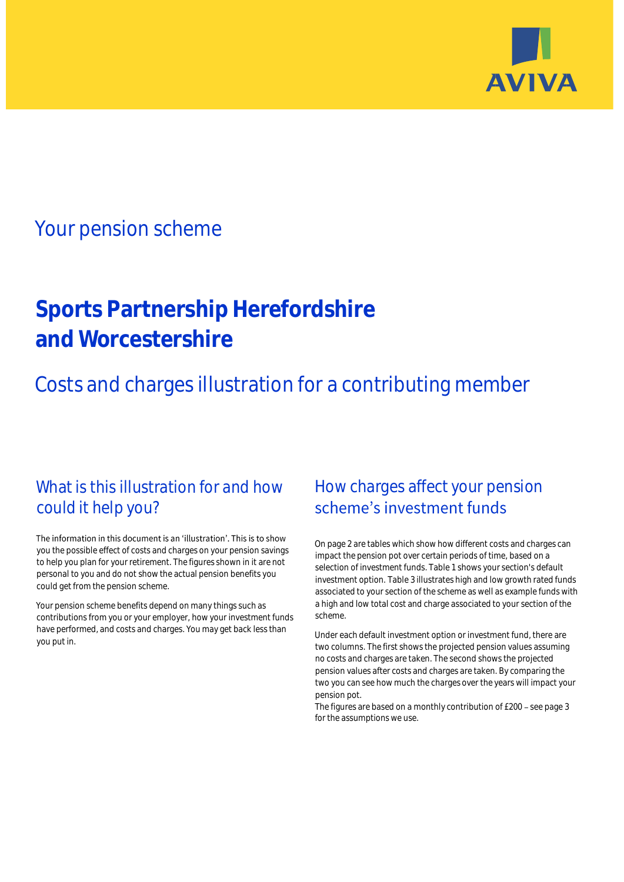

## Your pension scheme

# **Sports Partnership Herefordshire and Worcestershire**

Costs and charges illustration for a contributing member

### What is this illustration for and how could it help you?

#### The information in this document is an 'illustration'. This is to show you the possible effect of costs and charges on your pension savings to help you plan for your retirement. The figures shown in it are not personal to you and do not show the actual pension benefits you could get from the pension scheme.

Your pension scheme benefits depend on many things such as contributions from you or your employer, how your investment funds have performed, and costs and charges. You may get back less than you put in.

### How charges affect your pension scheme's investment funds

On page 2 are tables which show how different costs and charges can impact the pension pot over certain periods of time, based on a selection of investment funds. Table 1 shows your section's default investment option. Table 3 illustrates high and low growth rated funds associated to your section of the scheme as well as example funds with a high and low total cost and charge associated to your section of the scheme.

Under each default investment option or investment fund, there are two columns. The first shows the projected pension values assuming no costs and charges are taken. The second shows the projected pension values after costs and charges are taken. By comparing the two you can see how much the charges over the years will impact your pension pot.

The figures are based on a monthly contribution of  $£200 -$  see page 3 for the assumptions we use.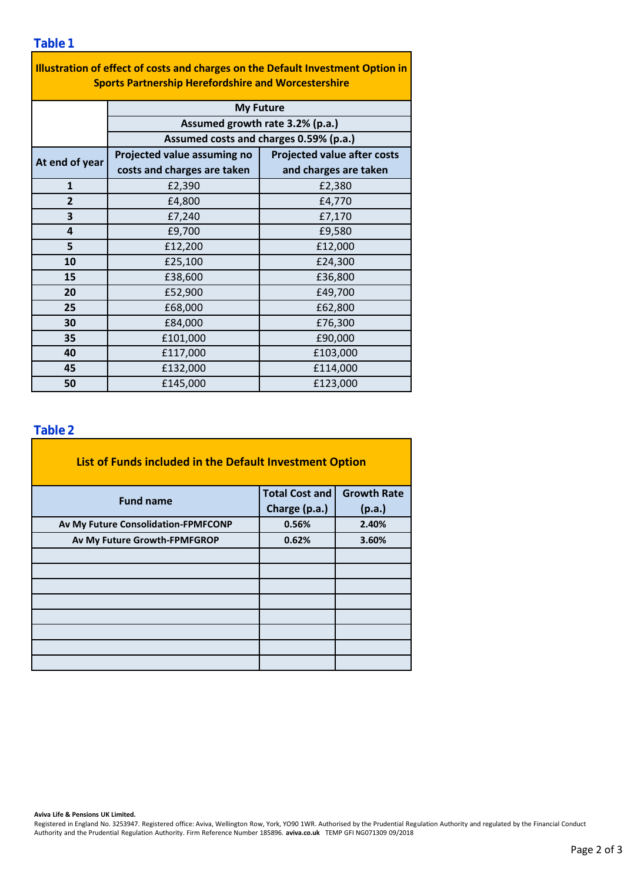| Illustration of effect of costs and charges on the Default Investment Option in<br><b>Sports Partnership Herefordshire and Worcestershire</b> |                                        |                                    |  |  |  |  |
|-----------------------------------------------------------------------------------------------------------------------------------------------|----------------------------------------|------------------------------------|--|--|--|--|
|                                                                                                                                               | <b>My Future</b>                       |                                    |  |  |  |  |
|                                                                                                                                               | Assumed growth rate 3.2% (p.a.)        |                                    |  |  |  |  |
|                                                                                                                                               | Assumed costs and charges 0.59% (p.a.) |                                    |  |  |  |  |
| At end of year                                                                                                                                | Projected value assuming no            | <b>Projected value after costs</b> |  |  |  |  |
|                                                                                                                                               | costs and charges are taken            | and charges are taken              |  |  |  |  |
| 1                                                                                                                                             | £2,390                                 | £2,380                             |  |  |  |  |
| $\overline{2}$                                                                                                                                | £4,800                                 | £4,770                             |  |  |  |  |
| 3                                                                                                                                             | £7,240                                 | £7,170                             |  |  |  |  |
| 4                                                                                                                                             | £9,700                                 | £9,580                             |  |  |  |  |
| 5                                                                                                                                             | £12,200                                | £12,000                            |  |  |  |  |
| 10                                                                                                                                            | £25,100                                | £24,300                            |  |  |  |  |
| 15                                                                                                                                            | £38,600                                | £36,800                            |  |  |  |  |
| 20                                                                                                                                            | £52,900                                | £49,700                            |  |  |  |  |
| 25                                                                                                                                            | £68,000                                | £62,800                            |  |  |  |  |
| 30                                                                                                                                            | £84,000                                | £76,300                            |  |  |  |  |
| 35                                                                                                                                            | £101,000                               | £90,000                            |  |  |  |  |
| 40                                                                                                                                            | £117,000                               | £103,000                           |  |  |  |  |
| 45                                                                                                                                            | £132,000                               | £114,000                           |  |  |  |  |
| 50                                                                                                                                            | £145,000                               | £123,000                           |  |  |  |  |

÷,

### **Table 2**

| List of Funds included in the Default Investment Option |                       |                    |
|---------------------------------------------------------|-----------------------|--------------------|
| <b>Fund name</b>                                        | <b>Total Cost and</b> | <b>Growth Rate</b> |
|                                                         | Charge (p.a.)         | (p.a.)             |
| Av My Future Consolidation-FPMFCONP                     | 0.56%                 | 2.40%              |
| Av My Future Growth-FPMFGROP                            | 0.62%                 | 3.60%              |
|                                                         |                       |                    |
|                                                         |                       |                    |
|                                                         |                       |                    |
|                                                         |                       |                    |
|                                                         |                       |                    |
|                                                         |                       |                    |
|                                                         |                       |                    |
|                                                         |                       |                    |

#### **Aviva Life & Pensions UK Limited.**

Registered in England No. 3253947. Registered office: Aviva, Wellington Row, York, YO90 1WR. Authorised by the Prudential Regulation Authority and regulated by the Financial Conduct Authority and the Prudential Regulation Authority. Firm Reference Number 185896. **aviva.co.uk** TEMP GFI NG071309 09/2018